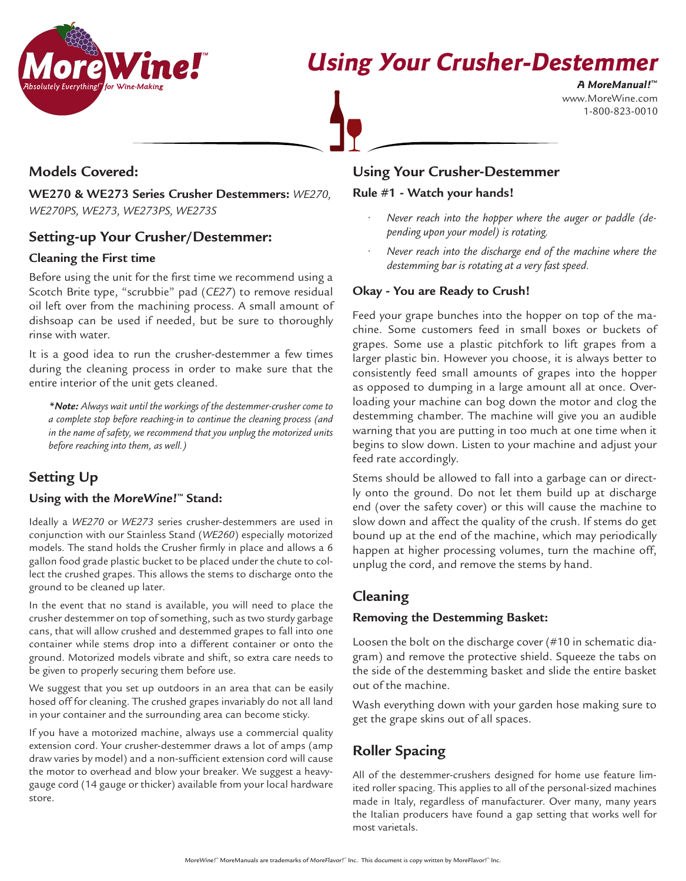

www.MoreWine.com 1-800-823-0010 **A MoreManual! ™**

## **Models Covered:**

**WE270 & WE273 Series Crusher Destemmers:** *WE270, WE270PS, WE273, WE273PS, WE273S*

## **Setting-up Your Crusher/Destemmer:**

#### **Cleaning the First time**

Before using the unit for the first time we recommend using a Scotch Brite type, "scrubbie" pad (*CE27*) to remove residual oil left over from the machining process. A small amount of dishsoap can be used if needed, but be sure to thoroughly rinse with water.

It is a good idea to run the crusher-destemmer a few times during the cleaning process in order to make sure that the entire interior of the unit gets cleaned.

*\*Note: Always wait until the workings of the destemmer-crusher come to a complete stop before reaching-in to continue the cleaning process (and in the name of safety, we recommend that you unplug the motorized units before reaching into them, as well.)*

## **Setting Up**

#### **Using with the MoreWine!™ Stand:**

Ideally a *WE270* or *WE273* series crusher-destemmers are used in conjunction with our Stainless Stand (*WE260*) especially motorized models. The stand holds the Crusher firmly in place and allows a 6 gallon food grade plastic bucket to be placed under the chute to collect the crushed grapes. This allows the stems to discharge onto the ground to be cleaned up later.

In the event that no stand is available, you will need to place the crusher destemmer on top of something, such as two sturdy garbage cans, that will allow crushed and destemmed grapes to fall into one container while stems drop into a different container or onto the ground. Motorized models vibrate and shift, so extra care needs to be given to properly securing them before use.

We suggest that you set up outdoors in an area that can be easily hosed off for cleaning. The crushed grapes invariably do not all land in your container and the surrounding area can become sticky.

If you have a motorized machine, always use a commercial quality extension cord. Your crusher-destemmer draws a lot of amps (amp draw varies by model) and a non-sufficient extension cord will cause the motor to overhead and blow your breaker. We suggest a heavygauge cord (14 gauge or thicker) available from your local hardware store.

## **Using Your Crusher-Destemmer**

#### **Rule #1 - Watch your hands!**

- *• Never reach into the hopper where the auger or paddle (depending upon your model) is rotating.*
- *Never reach into the discharge end of the machine where the destemming bar is rotating at a very fast speed.*

#### **Okay - You are Ready to Crush!**

Feed your grape bunches into the hopper on top of the machine. Some customers feed in small boxes or buckets of grapes. Some use a plastic pitchfork to lift grapes from a larger plastic bin. However you choose, it is always better to consistently feed small amounts of grapes into the hopper as opposed to dumping in a large amount all at once. Overloading your machine can bog down the motor and clog the destemming chamber. The machine will give you an audible warning that you are putting in too much at one time when it begins to slow down. Listen to your machine and adjust your feed rate accordingly.

Stems should be allowed to fall into a garbage can or directly onto the ground. Do not let them build up at discharge end (over the safety cover) or this will cause the machine to slow down and affect the quality of the crush. If stems do get bound up at the end of the machine, which may periodically happen at higher processing volumes, turn the machine off, unplug the cord, and remove the stems by hand.

### **Cleaning**

#### **Removing the Destemming Basket:**

Loosen the bolt on the discharge cover (#10 in schematic diagram) and remove the protective shield. Squeeze the tabs on the side of the destemming basket and slide the entire basket out of the machine.

Wash everything down with your garden hose making sure to get the grape skins out of all spaces.

## **Roller Spacing**

All of the destemmer-crushers designed for home use feature limited roller spacing. This applies to all of the personal-sized machines made in Italy, regardless of manufacturer. Over many, many years the Italian producers have found a gap setting that works well for most varietals.